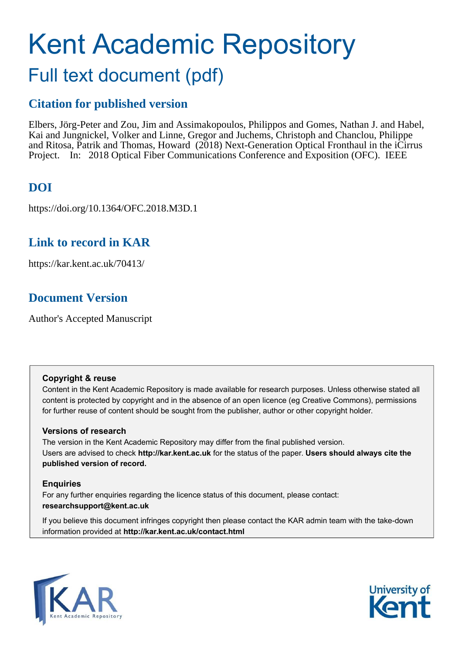# Kent Academic Repository

# Full text document (pdf)

### **Citation for published version**

Elbers, Jörg-Peter and Zou, Jim and Assimakopoulos, Philippos and Gomes, Nathan J. and Habel, Kai and Jungnickel, Volker and Linne, Gregor and Juchems, Christoph and Chanclou, Philippe and Ritosa, Patrik and Thomas, Howard (2018) Next-Generation Optical Fronthaul in the iCirrus Project. In: 2018 Optical Fiber Communications Conference and Exposition (OFC). IEEE

# **DOI**

https://doi.org/10.1364/OFC.2018.M3D.1

# **Link to record in KAR**

https://kar.kent.ac.uk/70413/

# **Document Version**

Author's Accepted Manuscript

#### **Copyright & reuse**

Content in the Kent Academic Repository is made available for research purposes. Unless otherwise stated all content is protected by copyright and in the absence of an open licence (eg Creative Commons), permissions for further reuse of content should be sought from the publisher, author or other copyright holder.

#### **Versions of research**

The version in the Kent Academic Repository may differ from the final published version. Users are advised to check **http://kar.kent.ac.uk** for the status of the paper. **Users should always cite the published version of record.**

#### **Enquiries**

For any further enquiries regarding the licence status of this document, please contact: **researchsupport@kent.ac.uk**

If you believe this document infringes copyright then please contact the KAR admin team with the take-down information provided at **http://kar.kent.ac.uk/contact.html**



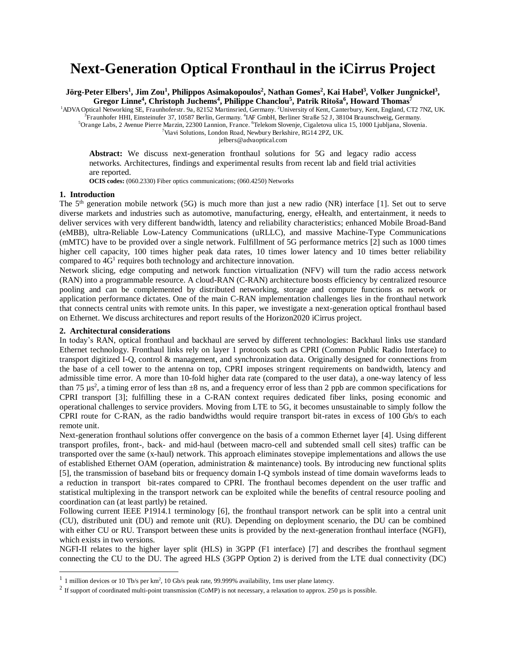# **Next-Generation Optical Fronthaul in the iCirrus Project**

**Jörg-Peter Elbers<sup>1</sup> , Jim Zou<sup>1</sup> , Philippos Asimakopoulos<sup>2</sup> , Nathan Gomes<sup>2</sup> , Kai Habel<sup>3</sup> , Volker Jungnickel<sup>3</sup> , Gregor Linne<sup>4</sup> , Christoph Juchems<sup>4</sup> , Philippe Chanclou<sup>5</sup> , Patrik Ritoša<sup>6</sup> , Howard Thomas<sup>7</sup>**

<sup>1</sup>ADVA Optical Networking SE, Fraunhoferstr. 9a, 82152 Martinsried, Germany. <sup>2</sup>University of Kent, Canterbury, Kent, England, CT2 7NZ, UK.<br><sup>3</sup>Fraunhofer HHI, Einsteinufer 37, 10587 Berlin, Germany. <sup>4</sup>IAF GmbH, Berliner

<sup>5</sup>Orange Labs, 2 Avenue Pierre Marzin, 22300 Lannion, France. <sup>6</sup>Telekom Slovenje, Cigaletova ulica 15, 1000 Ljubljana, Slovenia.

<sup>7</sup>Viavi Solutions, London Road, Newbury Berkshire, RG14 2PZ, UK.

jelbers@advaoptical.com

Abstract: We discuss next-generation fronthaul solutions for 5G and legacy radio access networks. Architectures, findings and experimental results from recent lab and field trial activities are reported.

**OCIS codes:** (060.2330) Fiber optics communications; (060.4250) Networks

#### **1. Introduction**

 $\overline{a}$ 

The 5<sup>th</sup> generation mobile network (5G) is much more than just a new radio (NR) interface [1]. Set out to serve diverse markets and industries such as automotive, manufacturing, energy, eHealth, and entertainment, it needs to deliver services with very different bandwidth, latency and reliability characteristics; enhanced Mobile Broad-Band (eMBB), ultra-Reliable Low-Latency Communications (uRLLC), and massive Machine-Type Communications (mMTC) have to be provided over a single network. Fulfillment of 5G performance metrics [2] such as 1000 times higher cell capacity, 100 times higher peak data rates, 10 times lower latency and 10 times better reliability compared to  $4G<sup>1</sup>$  requires both technology and architecture innovation.

Network slicing, edge computing and network function virtualization (NFV) will turn the radio access network (RAN) into a programmable resource. A cloud-RAN (C-RAN) architecture boosts efficiency by centralized resource pooling and can be complemented by distributed networking, storage and compute functions as network or application performance dictates. One of the main C-RAN implementation challenges lies in the fronthaul network that connects central units with remote units. In this paper, we investigate a next-generation optical fronthaul based on Ethernet. We discuss architectures and report results of the Horizon2020 iCirrus project.

#### **2. Architectural considerations**

In today's RAN, optical fronthaul and backhaul are served by different technologies: Backhaul links use standard Ethernet technology. Fronthaul links rely on layer 1 protocols such as CPRI (Common Public Radio Interface) to transport digitized I-Q, control & management, and synchronization data. Originally designed for connections from the base of a cell tower to the antenna on top, CPRI imposes stringent requirements on bandwidth, latency and admissible time error. A more than 10-fold higher data rate (compared to the user data), a one-way latency of less than 75  $\mu$ s<sup>2</sup>, a timing error of less than  $\pm 8$  ns, and a frequency error of less than 2 ppb are common specifications for CPRI transport [3]; fulfilling these in a C-RAN context requires dedicated fiber links, posing economic and operational challenges to service providers. Moving from LTE to 5G, it becomes unsustainable to simply follow the CPRI route for C-RAN, as the radio bandwidths would require transport bit-rates in excess of 100 Gb/s to each remote unit.

Next-generation fronthaul solutions offer convergence on the basis of a common Ethernet layer [4]. Using different transport profiles, front-, back- and mid-haul (between macro-cell and subtended small cell sites) traffic can be transported over the same (x-haul) network. This approach eliminates stovepipe implementations and allows the use of established Ethernet OAM (operation, administration & maintenance) tools. By introducing new functional splits [5], the transmission of baseband bits or frequency domain I-Q symbols instead of time domain waveforms leads to a reduction in transport bit-rates compared to CPRI. The fronthaul becomes dependent on the user traffic and statistical multiplexing in the transport network can be exploited while the benefits of central resource pooling and coordination can (at least partly) be retained.

Following current IEEE P1914.1 terminology [6], the fronthaul transport network can be split into a central unit (CU), distributed unit (DU) and remote unit (RU). Depending on deployment scenario, the DU can be combined with either CU or RU. Transport between these units is provided by the next-generation fronthaul interface (NGFI), which exists in two versions.

NGFI-II relates to the higher layer split (HLS) in 3GPP (F1 interface) [7] and describes the fronthaul segment connecting the CU to the DU. The agreed HLS (3GPP Option 2) is derived from the LTE dual connectivity (DC)

 $1$  1 million devices or 10 Tb/s per km<sup>2</sup>, 10 Gb/s peak rate, 99.999% availability, 1ms user plane latency.

 $2$  If support of coordinated multi-point transmission (CoMP) is not necessary, a relaxation to approx. 250 µs is possible.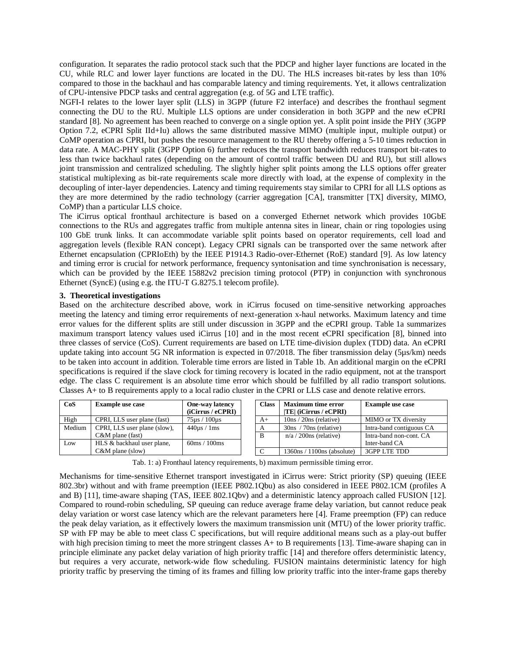configuration. It separates the radio protocol stack such that the PDCP and higher layer functions are located in the CU, while RLC and lower layer functions are located in the DU. The HLS increases bit-rates by less than 10% compared to those in the backhaul and has comparable latency and timing requirements. Yet, it allows centralization of CPU-intensive PDCP tasks and central aggregation (e.g. of 5G and LTE traffic).

NGFI-I relates to the lower layer split (LLS) in 3GPP (future F2 interface) and describes the fronthaul segment connecting the DU to the RU. Multiple LLS options are under consideration in both 3GPP and the new eCPRI standard [8]. No agreement has been reached to converge on a single option yet. A split point inside the PHY (3GPP Option 7.2, eCPRI Split IId+Iu) allows the same distributed massive MIMO (multiple input, multiple output) or CoMP operation as CPRI, but pushes the resource management to the RU thereby offering a 5-10 times reduction in data rate. A MAC-PHY split (3GPP Option 6) further reduces the transport bandwidth reduces transport bit-rates to less than twice backhaul rates (depending on the amount of control traffic between DU and RU), but still allows joint transmission and centralized scheduling. The slightly higher split points among the LLS options offer greater statistical multiplexing as bit-rate requirements scale more directly with load, at the expense of complexity in the decoupling of inter-layer dependencies. Latency and timing requirements stay similar to CPRI for all LLS options as they are more determined by the radio technology (carrier aggregation [CA], transmitter [TX] diversity, MIMO, CoMP) than a particular LLS choice.

The iCirrus optical fronthaul architecture is based on a converged Ethernet network which provides 10GbE connections to the RUs and aggregates traffic from multiple antenna sites in linear, chain or ring topologies using 100 GbE trunk links. It can accommodate variable split points based on operator requirements, cell load and aggregation levels (flexible RAN concept). Legacy CPRI signals can be transported over the same network after Ethernet encapsulation (CPRIoEth) by the IEEE P1914.3 Radio-over-Ethernet (RoE) standard [9]. As low latency and timing error is crucial for network performance, frequency syntonisation and time synchronisation is necessary, which can be provided by the IEEE 15882v2 precision timing protocol (PTP) in conjunction with synchronous Ethernet (SyncE) (using e.g. the ITU-T G.8275.1 telecom profile).

#### **3. Theoretical investigations**

Based on the architecture described above, work in iCirrus focused on time-sensitive networking approaches meeting the latency and timing error requirements of next-generation x-haul networks. Maximum latency and time error values for the different splits are still under discussion in 3GPP and the eCPRI group. Table 1a summarizes maximum transport latency values used iCirrus [10] and in the most recent eCPRI specification [8], binned into three classes of service (CoS). Current requirements are based on LTE time-division duplex (TDD) data. An eCPRI update taking into account 5G NR information is expected in 07/2018. The fiber transmission delay (5µs/km) needs to be taken into account in addition. Tolerable time errors are listed in Table 1b. An additional margin on the eCPRI specifications is required if the slave clock for timing recovery is located in the radio equipment, not at the transport edge. The class C requirement is an absolute time error which should be fulfilled by all radio transport solutions. Classes A+ to B requirements apply to a local radio cluster in the CPRI or LLS case and denote relative errors.

| CoS        | <b>Example use case</b>      | One-way latency                | <b>Class</b> | <b>Maximum time error</b>    | <b>Example use case</b>  |
|------------|------------------------------|--------------------------------|--------------|------------------------------|--------------------------|
|            |                              | (iCirrus / eCPRI)              |              | $ TE $ (iCirrus / eCPRI)     |                          |
| High       | CPRI, LLS user plane (fast)  | 75us / 100us                   | $A+$         | $10ns / 20ns$ (relative)     | MIMO or TX diversity     |
| Medium     | CPRI, LLS user plane (slow), | $440\mu s / 1ms$               |              | $30ns / 70ns$ (relative)     | Intra-band contiguous CA |
|            | $C&M$ plane (fast)           |                                | B            | $n/a / 200$ ns (relative)    | Intra-band non-cont. CA  |
| <b>Low</b> | HLS & backhaul user plane,   | $60 \text{ms} / 100 \text{ms}$ |              |                              | Inter-band CA            |
|            | $C&M$ plane (slow)           |                                |              | $1360ns / 1100ns$ (absolute) | 3GPP LTE TDD             |

Tab. 1: a) Fronthaul latency requirements, b) maximum permissible timing error.

Mechanisms for time-sensitive Ethernet transport investigated in iCirrus were: Strict priority (SP) queuing (IEEE 802.3br) without and with frame preemption (IEEE P802.1Qbu) as also considered in IEEE P802.1CM (profiles A and B) [11], time-aware shaping (TAS, IEEE 802.1Qbv) and a deterministic latency approach called FUSION [12]. Compared to round-robin scheduling, SP queuing can reduce average frame delay variation, but cannot reduce peak delay variation or worst case latency which are the relevant parameters here [4]. Frame preemption (FP) can reduce the peak delay variation, as it effectively lowers the maximum transmission unit (MTU) of the lower priority traffic. SP with FP may be able to meet class C specifications, but will require additional means such as a play-out buffer with high precision timing to meet the more stringent classes A+ to B requirements [13]. Time-aware shaping can in principle eliminate any packet delay variation of high priority traffic [14] and therefore offers deterministic latency, but requires a very accurate, network-wide flow scheduling. FUSION maintains deterministic latency for high priority traffic by preserving the timing of its frames and filling low priority traffic into the inter-frame gaps thereby